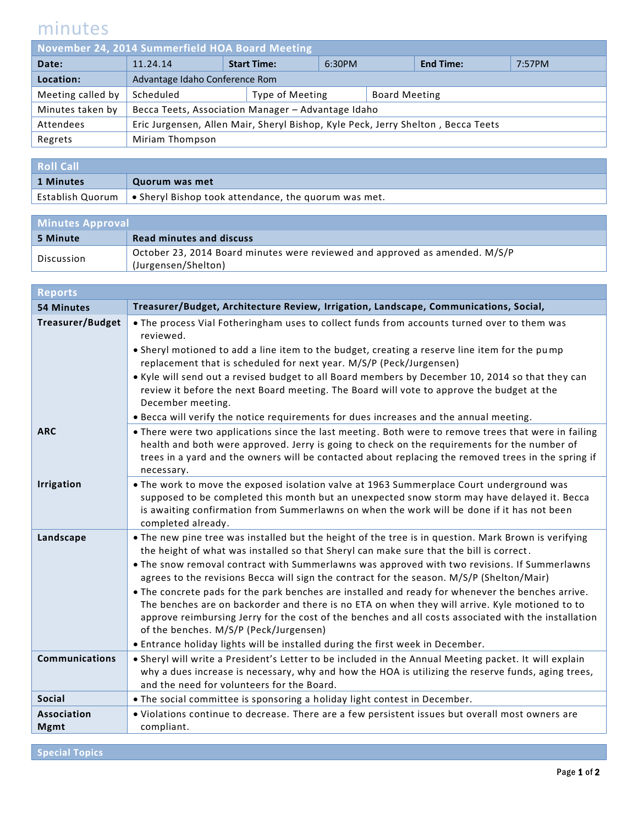## minutes

| November 24, 2014 Summerfield HOA Board Meeting |                                                                                  |                    |                 |        |                      |                  |        |
|-------------------------------------------------|----------------------------------------------------------------------------------|--------------------|-----------------|--------|----------------------|------------------|--------|
| Date:                                           | 11.24.14                                                                         | <b>Start Time:</b> |                 | 6:30PM |                      | <b>End Time:</b> | 7:57PM |
| Location:                                       | Advantage Idaho Conference Rom                                                   |                    |                 |        |                      |                  |        |
| Meeting called by                               | Scheduled                                                                        |                    | Type of Meeting |        | <b>Board Meeting</b> |                  |        |
| Minutes taken by                                | Becca Teets, Association Manager - Advantage Idaho                               |                    |                 |        |                      |                  |        |
| Attendees                                       | Eric Jurgensen, Allen Mair, Sheryl Bishop, Kyle Peck, Jerry Shelton, Becca Teets |                    |                 |        |                      |                  |        |
| Regrets                                         | Miriam Thompson                                                                  |                    |                 |        |                      |                  |        |
|                                                 |                                                                                  |                    |                 |        |                      |                  |        |

| <b>Roll Call</b> |                                                                             |
|------------------|-----------------------------------------------------------------------------|
| 1 Minutes        | Quorum was met                                                              |
|                  | Establish Quorum $\cdot$ Sheryl Bishop took attendance, the quorum was met. |

| <b>Minutes Approval</b> |                                                                                                    |  |
|-------------------------|----------------------------------------------------------------------------------------------------|--|
| 5 Minute                | Read minutes and discuss                                                                           |  |
| Discussion              | October 23, 2014 Board minutes were reviewed and approved as amended. M/S/P<br>(Jurgensen/Shelton) |  |

| <b>Reports</b>                    |                                                                                                                                                                                                                                                                                                                                                                                                                                                                                                                                                                                                                                                                                                                                                                                                                                         |
|-----------------------------------|-----------------------------------------------------------------------------------------------------------------------------------------------------------------------------------------------------------------------------------------------------------------------------------------------------------------------------------------------------------------------------------------------------------------------------------------------------------------------------------------------------------------------------------------------------------------------------------------------------------------------------------------------------------------------------------------------------------------------------------------------------------------------------------------------------------------------------------------|
| <b>54 Minutes</b>                 | Treasurer/Budget, Architecture Review, Irrigation, Landscape, Communications, Social,                                                                                                                                                                                                                                                                                                                                                                                                                                                                                                                                                                                                                                                                                                                                                   |
| <b>Treasurer/Budget</b>           | . The process Vial Fotheringham uses to collect funds from accounts turned over to them was<br>reviewed.<br>. Sheryl motioned to add a line item to the budget, creating a reserve line item for the pump<br>replacement that is scheduled for next year. M/S/P (Peck/Jurgensen)<br>. Kyle will send out a revised budget to all Board members by December 10, 2014 so that they can<br>review it before the next Board meeting. The Board will vote to approve the budget at the<br>December meeting.<br>. Becca will verify the notice requirements for dues increases and the annual meeting.                                                                                                                                                                                                                                        |
| <b>ARC</b>                        | . There were two applications since the last meeting. Both were to remove trees that were in failing<br>health and both were approved. Jerry is going to check on the requirements for the number of<br>trees in a yard and the owners will be contacted about replacing the removed trees in the spring if<br>necessary.                                                                                                                                                                                                                                                                                                                                                                                                                                                                                                               |
| <b>Irrigation</b>                 | . The work to move the exposed isolation valve at 1963 Summerplace Court underground was<br>supposed to be completed this month but an unexpected snow storm may have delayed it. Becca<br>is awaiting confirmation from Summerlawns on when the work will be done if it has not been<br>completed already.                                                                                                                                                                                                                                                                                                                                                                                                                                                                                                                             |
| Landscape                         | • The new pine tree was installed but the height of the tree is in question. Mark Brown is verifying<br>the height of what was installed so that Sheryl can make sure that the bill is correct.<br>. The snow removal contract with Summerlawns was approved with two revisions. If Summerlawns<br>agrees to the revisions Becca will sign the contract for the season. M/S/P (Shelton/Mair)<br>. The concrete pads for the park benches are installed and ready for whenever the benches arrive.<br>The benches are on backorder and there is no ETA on when they will arrive. Kyle motioned to to<br>approve reimbursing Jerry for the cost of the benches and all costs associated with the installation<br>of the benches. M/S/P (Peck/Jurgensen)<br>. Entrance holiday lights will be installed during the first week in December. |
| <b>Communications</b>             | . Sheryl will write a President's Letter to be included in the Annual Meeting packet. It will explain<br>why a dues increase is necessary, why and how the HOA is utilizing the reserve funds, aging trees,<br>and the need for volunteers for the Board.                                                                                                                                                                                                                                                                                                                                                                                                                                                                                                                                                                               |
| <b>Social</b>                     | . The social committee is sponsoring a holiday light contest in December.                                                                                                                                                                                                                                                                                                                                                                                                                                                                                                                                                                                                                                                                                                                                                               |
| <b>Association</b><br><b>Mgmt</b> | . Violations continue to decrease. There are a few persistent issues but overall most owners are<br>compliant.                                                                                                                                                                                                                                                                                                                                                                                                                                                                                                                                                                                                                                                                                                                          |

**Special Topics**